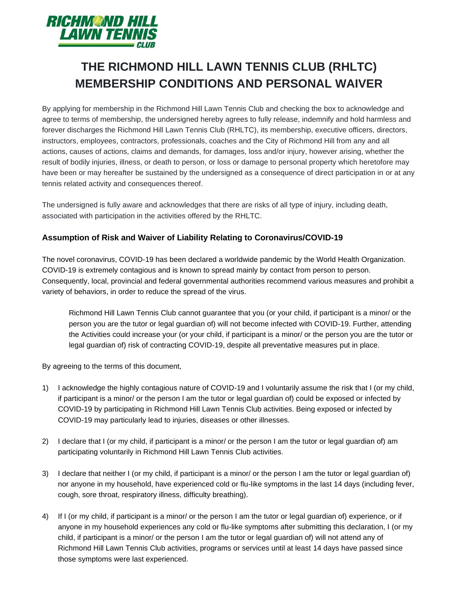

# **THE RICHMOND HILL LAWN TENNIS CLUB (RHLTC) MEMBERSHIP CONDITIONS AND PERSONAL WAIVER**

By applying for membership in the Richmond Hill Lawn Tennis Club and checking the box to acknowledge and agree to terms of membership, the undersigned hereby agrees to fully release, indemnify and hold harmless and forever discharges the Richmond Hill Lawn Tennis Club (RHLTC), its membership, executive officers, directors, instructors, employees, contractors, professionals, coaches and the City of Richmond Hill from any and all actions, causes of actions, claims and demands, for damages, loss and/or injury, however arising, whether the result of bodily injuries, illness, or death to person, or loss or damage to personal property which heretofore may have been or may hereafter be sustained by the undersigned as a consequence of direct participation in or at any tennis related activity and consequences thereof.

The undersigned is fully aware and acknowledges that there are risks of all type of injury, including death, associated with participation in the activities offered by the RHLTC.

### **Assumption of Risk and Waiver of Liability Relating to Coronavirus/COVID-19**

The novel coronavirus, COVID-19 has been declared a worldwide pandemic by the World Health Organization. COVID-19 is extremely contagious and is known to spread mainly by contact from person to person. Consequently, local, provincial and federal governmental authorities recommend various measures and prohibit a variety of behaviors, in order to reduce the spread of the virus.

Richmond Hill Lawn Tennis Club cannot guarantee that you (or your child, if participant is a minor/ or the person you are the tutor or legal guardian of) will not become infected with COVID-19. Further, attending the Activities could increase your (or your child, if participant is a minor/ or the person you are the tutor or legal guardian of) risk of contracting COVID-19, despite all preventative measures put in place.

By agreeing to the terms of this document,

- 1) I acknowledge the highly contagious nature of COVID-19 and I voluntarily assume the risk that I (or my child, if participant is a minor/ or the person I am the tutor or legal guardian of) could be exposed or infected by COVID-19 by participating in Richmond Hill Lawn Tennis Club activities. Being exposed or infected by COVID-19 may particularly lead to injuries, diseases or other illnesses.
- 2) I declare that I (or my child, if participant is a minor/ or the person I am the tutor or legal guardian of) am participating voluntarily in Richmond Hill Lawn Tennis Club activities.
- 3) I declare that neither I (or my child, if participant is a minor/ or the person I am the tutor or legal guardian of) nor anyone in my household, have experienced cold or flu-like symptoms in the last 14 days (including fever, cough, sore throat, respiratory illness, difficulty breathing).
- 4) If I (or my child, if participant is a minor/ or the person I am the tutor or legal guardian of) experience, or if anyone in my household experiences any cold or flu-like symptoms after submitting this declaration, I (or my child, if participant is a minor/ or the person I am the tutor or legal guardian of) will not attend any of Richmond Hill Lawn Tennis Club activities, programs or services until at least 14 days have passed since those symptoms were last experienced.